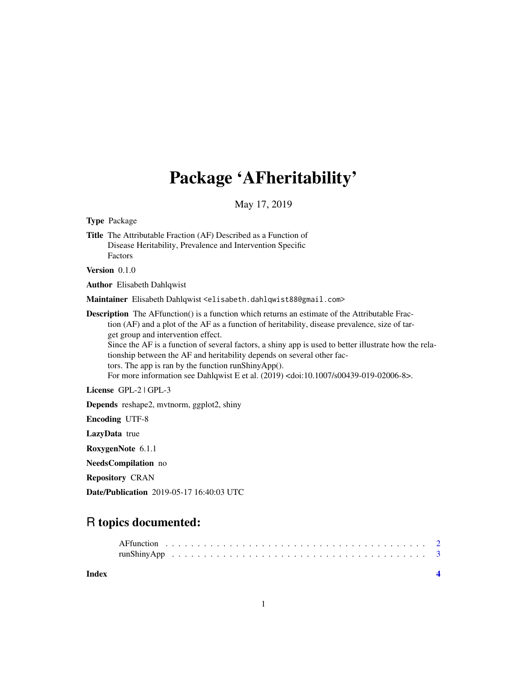## Package 'AFheritability'

May 17, 2019

<span id="page-0-0"></span>Type Package

Title The Attributable Fraction (AF) Described as a Function of Disease Heritability, Prevalence and Intervention Specific Factors

Version 0.1.0

Author Elisabeth Dahlqwist

Maintainer Elisabeth Dahlqwist <elisabeth.dahlqwist88@gmail.com>

**Description** The AFfunction() is a function which returns an estimate of the Attributable Fraction (AF) and a plot of the AF as a function of heritability, disease prevalence, size of target group and intervention effect. Since the AF is a function of several factors, a shiny app is used to better illustrate how the relationship between the AF and heritability depends on several other factors. The app is ran by the function runShinyApp().

For more information see Dahlqwist E et al. (2019) <doi:10.1007/s00439-019-02006-8>.

License GPL-2 | GPL-3

Depends reshape2, mvtnorm, ggplot2, shiny

Encoding UTF-8

LazyData true

RoxygenNote 6.1.1

NeedsCompilation no

Repository CRAN

Date/Publication 2019-05-17 16:40:03 UTC

### R topics documented:

| Index |  |  |  |  |  |  |  |  |  |  |  |  |  |  |  |  |  |  |  |  |
|-------|--|--|--|--|--|--|--|--|--|--|--|--|--|--|--|--|--|--|--|--|
|       |  |  |  |  |  |  |  |  |  |  |  |  |  |  |  |  |  |  |  |  |
|       |  |  |  |  |  |  |  |  |  |  |  |  |  |  |  |  |  |  |  |  |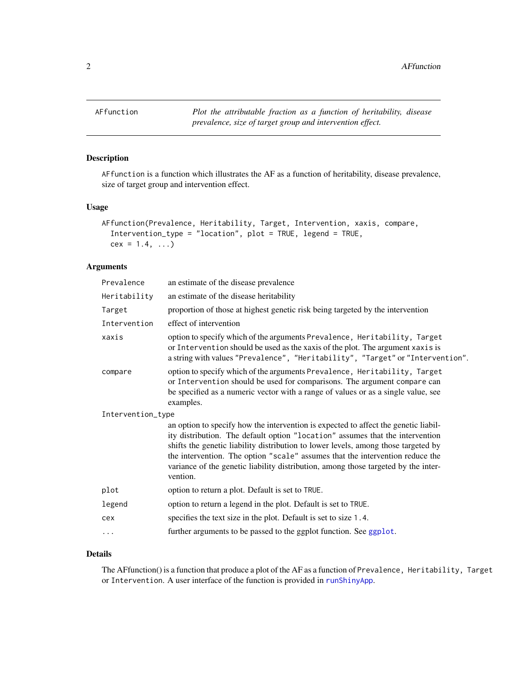<span id="page-1-1"></span><span id="page-1-0"></span>

#### Description

AFfunction is a function which illustrates the AF as a function of heritability, disease prevalence, size of target group and intervention effect.

#### Usage

```
AFfunction(Prevalence, Heritability, Target, Intervention, xaxis, compare,
  Intervention_type = "location", plot = TRUE, legend = TRUE,
 cex = 1.4, ...
```
#### Arguments

| Prevalence        | an estimate of the disease prevalence                                                                                                                                                                                                                                                                                                                                                                                                         |  |  |  |  |  |
|-------------------|-----------------------------------------------------------------------------------------------------------------------------------------------------------------------------------------------------------------------------------------------------------------------------------------------------------------------------------------------------------------------------------------------------------------------------------------------|--|--|--|--|--|
| Heritability      | an estimate of the disease heritability                                                                                                                                                                                                                                                                                                                                                                                                       |  |  |  |  |  |
| Target            | proportion of those at highest genetic risk being targeted by the intervention                                                                                                                                                                                                                                                                                                                                                                |  |  |  |  |  |
| Intervention      | effect of intervention                                                                                                                                                                                                                                                                                                                                                                                                                        |  |  |  |  |  |
| xaxis             | option to specify which of the arguments Prevalence, Heritability, Target<br>or Intervention should be used as the xaxis of the plot. The argument xaxis is<br>a string with values "Prevalence", "Heritability", "Target" or "Intervention".                                                                                                                                                                                                 |  |  |  |  |  |
| compare           | option to specify which of the arguments Prevalence, Heritability, Target<br>or Intervention should be used for comparisons. The argument compare can<br>be specified as a numeric vector with a range of values or as a single value, see<br>examples.                                                                                                                                                                                       |  |  |  |  |  |
| Intervention_type |                                                                                                                                                                                                                                                                                                                                                                                                                                               |  |  |  |  |  |
|                   | an option to specify how the intervention is expected to affect the genetic liabil-<br>ity distribution. The default option "location" assumes that the intervention<br>shifts the genetic liability distribution to lower levels, among those targeted by<br>the intervention. The option "scale" assumes that the intervention reduce the<br>variance of the genetic liability distribution, among those targeted by the inter-<br>vention. |  |  |  |  |  |
| plot              | option to return a plot. Default is set to TRUE.                                                                                                                                                                                                                                                                                                                                                                                              |  |  |  |  |  |
| legend            | option to return a legend in the plot. Default is set to TRUE.                                                                                                                                                                                                                                                                                                                                                                                |  |  |  |  |  |
| cex               | specifies the text size in the plot. Default is set to size 1.4.                                                                                                                                                                                                                                                                                                                                                                              |  |  |  |  |  |
| $\cdots$          | further arguments to be passed to the ggplot function. See ggplot.                                                                                                                                                                                                                                                                                                                                                                            |  |  |  |  |  |
|                   |                                                                                                                                                                                                                                                                                                                                                                                                                                               |  |  |  |  |  |

#### Details

The AFfunction() is a function that produce a plot of the AF as a function of Prevalence, Heritability, Target or Intervention. A user interface of the function is provided in [runShinyApp](#page-2-1).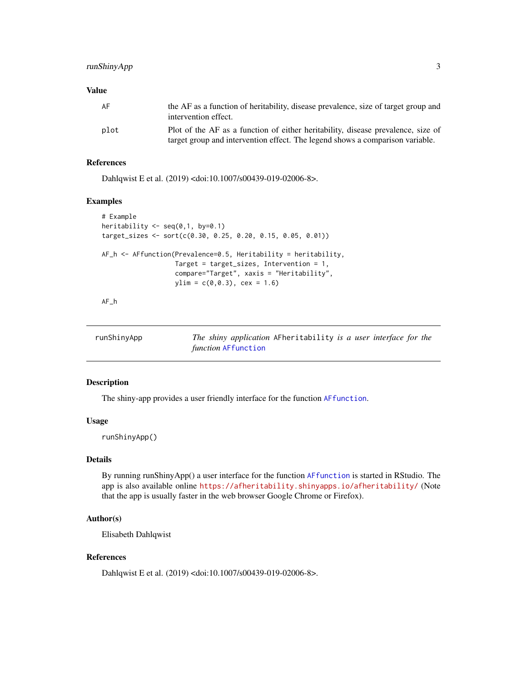#### <span id="page-2-0"></span>runShinyApp 3

#### Value

| AF   | the AF as a function of heritability, disease prevalence, size of target group and<br>intervention effect. |
|------|------------------------------------------------------------------------------------------------------------|
| plot | Plot of the AF as a function of either heritability, disease prevalence, size of                           |
|      | target group and intervention effect. The legend shows a comparison variable.                              |

#### References

Dahlqwist E et al. (2019) <doi:10.1007/s00439-019-02006-8>.

#### Examples

```
# Example
heritability <- seq(0,1, by=0.1)
target_sizes <- sort(c(0.30, 0.25, 0.20, 0.15, 0.05, 0.01))
AF_h <- AFfunction(Prevalence=0.5, Heritability = heritability,
                  Target = target_sizes, Intervention = 1,
                   compare="Target", xaxis = "Heritability",
                   ylim = c(0, 0.3), cex = 1.6)
```
AF\_h

<span id="page-2-1"></span>

| runShinyApp | The shiny application AFheritability is a user interface for the<br><i>function</i> AFfunction |
|-------------|------------------------------------------------------------------------------------------------|
|             |                                                                                                |

#### Description

The shiny-app provides a user friendly interface for the function [AFfunction](#page-1-1).

#### Usage

runShinyApp()

#### Details

By running runShinyApp() a user interface for the function [AFfunction](#page-1-1) is started in RStudio. The app is also available online <https://afheritability.shinyapps.io/afheritability/> (Note that the app is usually faster in the web browser Google Chrome or Firefox).

#### Author(s)

Elisabeth Dahlqwist

#### References

Dahlqwist E et al. (2019) <doi:10.1007/s00439-019-02006-8>.